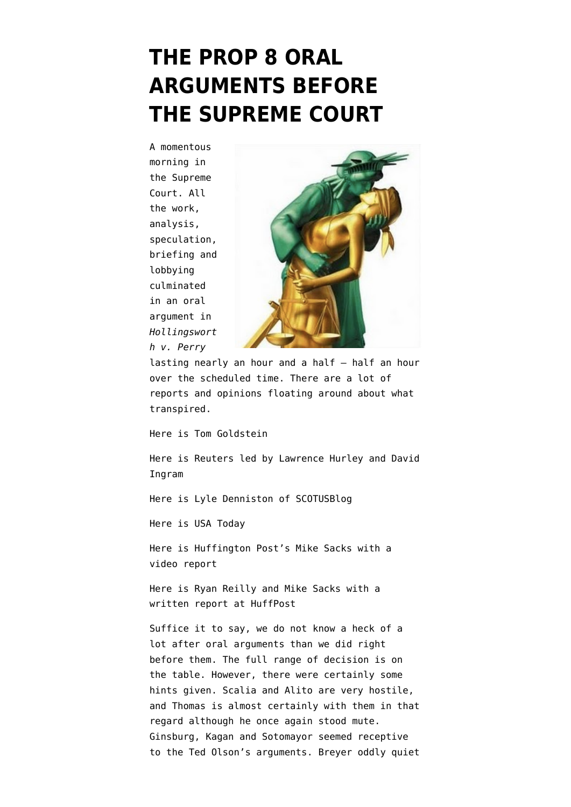## **[THE PROP 8 ORAL](https://www.emptywheel.net/2013/03/26/the-prop-8-oral-arguments-before-the-supreme-court/) [ARGUMENTS BEFORE](https://www.emptywheel.net/2013/03/26/the-prop-8-oral-arguments-before-the-supreme-court/) [THE SUPREME COURT](https://www.emptywheel.net/2013/03/26/the-prop-8-oral-arguments-before-the-supreme-court/)**

A momentous morning in the Supreme Court. All the work, analysis, speculation, briefing and lobbying culminated in an oral argument in *Hollingswort h v. Perry*



lasting nearly an hour and a half – half an hour over the scheduled time. There are a lot of reports and opinions floating around about what transpired.

[Here is Tom Goldstein](http://www.scotusblog.com/2013/03/the-proposition-8-oral-argument/)

[Here is Reuters led by Lawrence Hurley and David](http://newsandinsight.thomsonreuters.com/Legal/News/2013/03_-_March/Supreme_Court_raises_doubts_on_California_marriage_case/) [Ingram](http://newsandinsight.thomsonreuters.com/Legal/News/2013/03_-_March/Supreme_Court_raises_doubts_on_California_marriage_case/)

[Here is Lyle Denniston of SCOTUSBlog](http://www.scotusblog.com/2013/03/argument-recap-on-marriage-kennedy-in-control/)

[Here is USA Today](http://www.usatoday.com/story/news/politics/2013/03/26/supreme-court-same-sex-gays-lesbians-marriage-california-proposition-8/2017597/)

[Here is Huffington Post's Mike Sacks with a](http://live.huffingtonpost.com/r/segment/california-gay-marriage-argument-at-high-court-/5150479102a7602076000347) [video report](http://live.huffingtonpost.com/r/segment/california-gay-marriage-argument-at-high-court-/5150479102a7602076000347)

[Here is Ryan Reilly and Mike Sacks with a](http://www.huffingtonpost.com/2013/03/26/supreme-court-proposition-8_n_2950615.html?utm_hp_ref=tw) [written report at HuffPost](http://www.huffingtonpost.com/2013/03/26/supreme-court-proposition-8_n_2950615.html?utm_hp_ref=tw)

Suffice it to say, we do not know a heck of a lot after oral arguments than we did right before them. The full range of decision is on the table. However, there were certainly some hints given. Scalia and Alito are very hostile, and Thomas is almost certainly with them in that regard although he once again stood mute. Ginsburg, Kagan and Sotomayor seemed receptive to the Ted Olson's arguments. Breyer oddly quiet